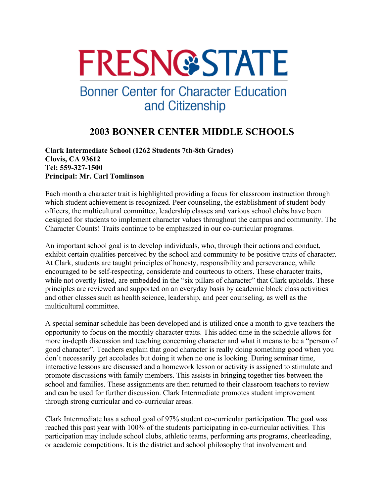# **FRESN@STATE**

## **Bonner Center for Character Education** and Citizenship

### **2003 BONNER CENTER MIDDLE SCHOOLS**

**Clark Intermediate School (1262 Students 7th-8th Grades) Clovis, CA 93612 Tel: 559-327-1500 Principal: Mr. Carl Tomlinson** 

Each month a character trait is highlighted providing a focus for classroom instruction through which student achievement is recognized. Peer counseling, the establishment of student body officers, the multicultural committee, leadership classes and various school clubs have been designed for students to implement character values throughout the campus and community. The Character Counts! Traits continue to be emphasized in our co-curricular programs.

An important school goal is to develop individuals, who, through their actions and conduct, exhibit certain qualities perceived by the school and community to be positive traits of character. At Clark, students are taught principles of honesty, responsibility and perseverance, while encouraged to be self-respecting, considerate and courteous to others. These character traits, while not overtly listed, are embedded in the "six pillars of character" that Clark upholds. These principles are reviewed and supported on an everyday basis by academic block class activities and other classes such as health science, leadership, and peer counseling, as well as the multicultural committee.

A special seminar schedule has been developed and is utilized once a month to give teachers the opportunity to focus on the monthly character traits. This added time in the schedule allows for more in-depth discussion and teaching concerning character and what it means to be a "person of good character". Teachers explain that good character is really doing something good when you don't necessarily get accolades but doing it when no one is looking. During seminar time, interactive lessons are discussed and a homework lesson or activity is assigned to stimulate and promote discussions with family members. This assists in bringing together ties between the school and families. These assignments are then returned to their classroom teachers to review and can be used for further discussion. Clark Intermediate promotes student improvement through strong curricular and co-curricular areas.

Clark Intermediate has a school goal of 97% student co-curricular participation. The goal was reached this past year with 100% of the students participating in co-curricular activities. This participation may include school clubs, athletic teams, performing arts programs, cheerleading, or academic competitions. It is the district and school philosophy that involvement and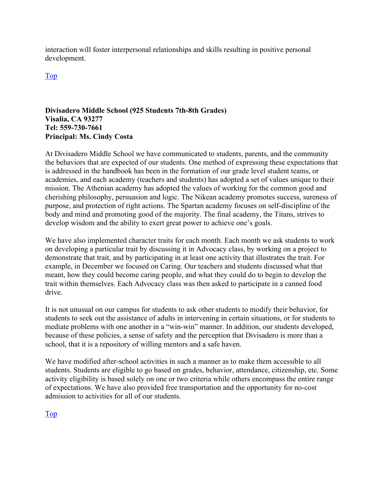interaction will foster interpersonal relationships and skills resulting in positive personal development.

Top

#### **Divisadero Middle School (925 Students 7th-8th Grades) Visalia, CA 93277 Tel: 559-730-7661 Principal: Ms. Cindy Costa**

At Divisadero Middle School we have communicated to students, parents, and the community the behaviors that are expected of our students. One method of expressing these expectations that is addressed in the handbook has been in the formation of our grade level student teams, or academies, and each academy (teachers and students) has adopted a set of values unique to their mission. The Athenian academy has adopted the values of working for the common good and cherishing philosophy, persuasion and logic. The Nikean academy promotes success, sureness of purpose, and protection of right actions. The Spartan academy focuses on self-discipline of the body and mind and promoting good of the majority. The final academy, the Titans, strives to develop wisdom and the ability to exert great power to achieve one's goals.

We have also implemented character traits for each month. Each month we ask students to work on developing a particular trait by discussing it in Advocacy class, by working on a project to demonstrate that trait, and by participating in at least one activity that illustrates the trait. For example, in December we focused on Caring. Our teachers and students discussed what that meant, how they could become caring people, and what they could do to begin to develop the trait within themselves. Each Advocacy class was then asked to participate in a canned food drive.

It is not unusual on our campus for students to ask other students to modify their behavior, for students to seek out the assistance of adults in intervening in certain situations, or for students to mediate problems with one another in a "win-win" manner. In addition, our students developed, because of these policies, a sense of safety and the perception that Divisadero is more than a school, that it is a repository of willing mentors and a safe haven.

We have modified after-school activities in such a manner as to make them accessible to all students. Students are eligible to go based on grades, behavior, attendance, citizenship, etc. Some activity eligibility is based solely on one or two criteria while others encompass the entire range of expectations. We have also provided free transportation and the opportunity for no-cost admission to activities for all of our students.

Top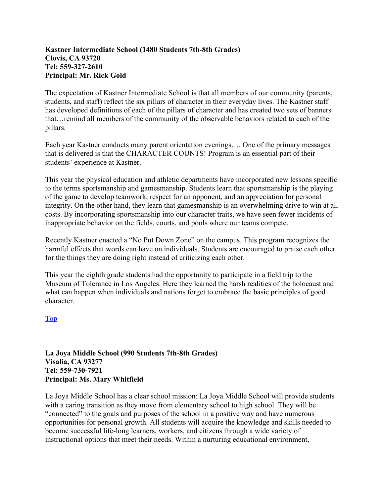#### **Kastner Intermediate School (1480 Students 7th-8th Grades) Clovis, CA 93720 Tel: 559-327-2610 Principal: Mr. Rick Gold**

The expectation of Kastner Intermediate School is that all members of our community (parents, students, and staff) reflect the six pillars of character in their everyday lives. The Kastner staff has developed definitions of each of the pillars of character and has created two sets of banners that…remind all members of the community of the observable behaviors related to each of the pillars.

Each year Kastner conducts many parent orientation evenings…. One of the primary messages that is delivered is that the CHARACTER COUNTS! Program is an essential part of their students' experience at Kastner.

This year the physical education and athletic departments have incorporated new lessons specific to the terms sportsmanship and gamesmanship. Students learn that sportsmanship is the playing of the game to develop teamwork, respect for an opponent, and an appreciation for personal integrity. On the other hand, they learn that gamesmanship is an overwhelming drive to win at all costs. By incorporating sportsmanship into our character traits, we have seen fewer incidents of inappropriate behavior on the fields, courts, and pools where our teams compete.

Recently Kastner enacted a "No Put Down Zone" on the campus. This program recognizes the harmful effects that words can have on individuals. Students are encouraged to praise each other for the things they are doing right instead of criticizing each other.

This year the eighth grade students had the opportunity to participate in a field trip to the Museum of Tolerance in Los Angeles. Here they learned the harsh realities of the holocaust and what can happen when individuals and nations forget to embrace the basic principles of good character.

#### Top

#### **La Joya Middle School (990 Students 7th-8th Grades) Visalia, CA 93277 Tel: 559-730-7921 Principal: Ms. Mary Whitfield**

La Joya Middle School has a clear school mission: La Joya Middle School will provide students with a caring transition as they move from elementary school to high school. They will be "connected" to the goals and purposes of the school in a positive way and have numerous opportunities for personal growth. All students will acquire the knowledge and skills needed to become successful life-long learners, workers, and citizens through a wide variety of instructional options that meet their needs. Within a nurturing educational environment,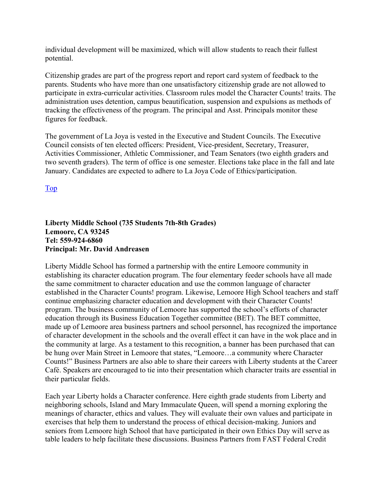individual development will be maximized, which will allow students to reach their fullest potential.

Citizenship grades are part of the progress report and report card system of feedback to the parents. Students who have more than one unsatisfactory citizenship grade are not allowed to participate in extra-curricular activities. Classroom rules model the Character Counts! traits. The administration uses detention, campus beautification, suspension and expulsions as methods of tracking the effectiveness of the program. The principal and Asst. Principals monitor these figures for feedback.

The government of La Joya is vested in the Executive and Student Councils. The Executive Council consists of ten elected officers: President, Vice-president, Secretary, Treasurer, Activities Commissioner, Athletic Commissioner, and Team Senators (two eighth graders and two seventh graders). The term of office is one semester. Elections take place in the fall and late January. Candidates are expected to adhere to La Joya Code of Ethics/participation.

Top

#### **Liberty Middle School (735 Students 7th-8th Grades) Lemoore, CA 93245 Tel: 559-924-6860 Principal: Mr. David Andreasen**

Liberty Middle School has formed a partnership with the entire Lemoore community in establishing its character education program. The four elementary feeder schools have all made the same commitment to character education and use the common language of character established in the Character Counts! program. Likewise, Lemoore High School teachers and staff continue emphasizing character education and development with their Character Counts! program. The business community of Lemoore has supported the school's efforts of character education through its Business Education Together committee (BET). The BET committee, made up of Lemoore area business partners and school personnel, has recognized the importance of character development in the schools and the overall effect it can have in the wok place and in the community at large. As a testament to this recognition, a banner has been purchased that can be hung over Main Street in Lemoore that states, "Lemoore…a community where Character Counts!" Business Partners are also able to share their careers with Liberty students at the Career Café. Speakers are encouraged to tie into their presentation which character traits are essential in their particular fields.

Each year Liberty holds a Character conference. Here eighth grade students from Liberty and neighboring schools, Island and Mary Immaculate Queen, will spend a morning exploring the meanings of character, ethics and values. They will evaluate their own values and participate in exercises that help them to understand the process of ethical decision-making. Juniors and seniors from Lemoore high School that have participated in their own Ethics Day will serve as table leaders to help facilitate these discussions. Business Partners from FAST Federal Credit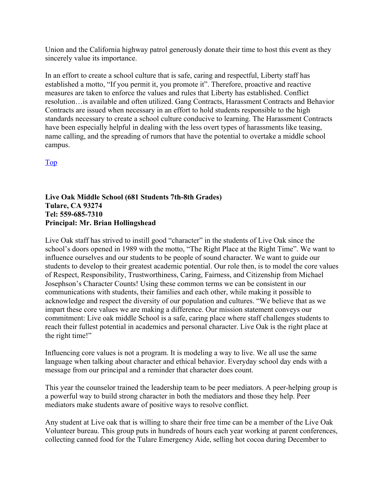Union and the California highway patrol generously donate their time to host this event as they sincerely value its importance.

In an effort to create a school culture that is safe, caring and respectful, Liberty staff has established a motto, "If you permit it, you promote it". Therefore, proactive and reactive measures are taken to enforce the values and rules that Liberty has established. Conflict resolution…is available and often utilized. Gang Contracts, Harassment Contracts and Behavior Contracts are issued when necessary in an effort to hold students responsible to the high standards necessary to create a school culture conducive to learning. The Harassment Contracts have been especially helpful in dealing with the less overt types of harassments like teasing, name calling, and the spreading of rumors that have the potential to overtake a middle school campus.

Top

#### **Live Oak Middle School (681 Students 7th-8th Grades) Tulare, CA 93274 Tel: 559-685-7310 Principal: Mr. Brian Hollingshead**

Live Oak staff has strived to instill good "character" in the students of Live Oak since the school's doors opened in 1989 with the motto, "The Right Place at the Right Time". We want to influence ourselves and our students to be people of sound character. We want to guide our students to develop to their greatest academic potential. Our role then, is to model the core values of Respect, Responsibility, Trustworthiness, Caring, Fairness, and Citizenship from Michael Josephson's Character Counts! Using these common terms we can be consistent in our communications with students, their families and each other, while making it possible to acknowledge and respect the diversity of our population and cultures. "We believe that as we impart these core values we are making a difference. Our mission statement conveys our commitment: Live oak middle School is a safe, caring place where staff challenges students to reach their fullest potential in academics and personal character. Live Oak is the right place at the right time!"

Influencing core values is not a program. It is modeling a way to live. We all use the same language when talking about character and ethical behavior. Everyday school day ends with a message from our principal and a reminder that character does count.

This year the counselor trained the leadership team to be peer mediators. A peer-helping group is a powerful way to build strong character in both the mediators and those they help. Peer mediators make students aware of positive ways to resolve conflict.

Any student at Live oak that is willing to share their free time can be a member of the Live Oak Volunteer bureau. This group puts in hundreds of hours each year working at parent conferences, collecting canned food for the Tulare Emergency Aide, selling hot cocoa during December to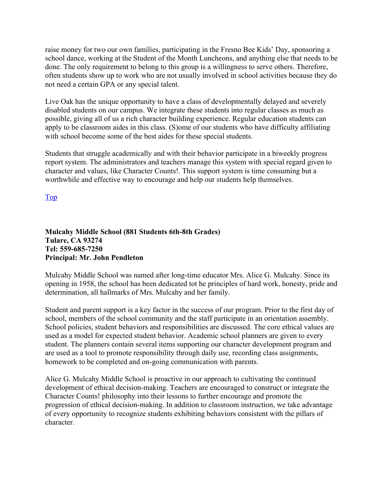raise money for two our own families, participating in the Fresno Bee Kids' Day, sponsoring a school dance, working at the Student of the Month Luncheons, and anything else that needs to be done. The only requirement to belong to this group is a willingness to serve others. Therefore, often students show up to work who are not usually involved in school activities because they do not need a certain GPA or any special talent.

Live Oak has the unique opportunity to have a class of developmentally delayed and severely disabled students on our campus. We integrate these students into regular classes as much as possible, giving all of us a rich character building experience. Regular education students can apply to be classroom aides in this class. (S)ome of our students who have difficulty affiliating with school become some of the best aides for these special students.

Students that struggle academically and with their behavior participate in a biweekly progress report system. The administrators and teachers manage this system with special regard given to character and values, like Character Counts!. This support system is time consuming but a worthwhile and effective way to encourage and help our students help themselves.

Top

#### **Mulcahy Middle School (881 Students 6th-8th Grades) Tulare, CA 93274 Tel: 559-685-7250 Principal: Mr. John Pendleton**

Mulcahy Middle School was named after long-time educator Mrs. Alice G. Mulcahy. Since its opening in 1958, the school has been dedicated tot he principles of hard work, honesty, pride and determination, all hallmarks of Mrs. Mulcahy and her family.

Student and parent support is a key factor in the success of our program. Prior to the first day of school, members of the school community and the staff participate in an orientation assembly. School policies, student behaviors and responsibilities are discussed. The core ethical values are used as a model for expected student behavior. Academic school planners are given to every student. The planners contain several items supporting our character development program and are used as a tool to promote responsibility through daily use, recording class assignments, homework to be completed and on-going communication with parents.

Alice G. Mulcahy Middle School is proactive in our approach to cultivating the continued development of ethical decision-making. Teachers are encouraged to construct or integrate the Character Counts! philosophy into their lessons to further encourage and promote the progression of ethical decision-making. In addition to classroom instruction, we take advantage of every opportunity to recognize students exhibiting behaviors consistent with the pillars of character.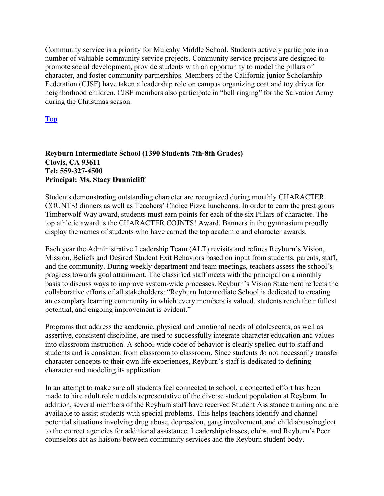Community service is a priority for Mulcahy Middle School. Students actively participate in a number of valuable community service projects. Community service projects are designed to promote social development, provide students with an opportunity to model the pillars of character, and foster community partnerships. Members of the California junior Scholarship Federation (CJSF) have taken a leadership role on campus organizing coat and toy drives for neighborhood children. CJSF members also participate in "bell ringing" for the Salvation Army during the Christmas season.

Top

#### **Reyburn Intermediate School (1390 Students 7th-8th Grades) Clovis, CA 93611 Tel: 559-327-4500 Principal: Ms. Stacy Dunnicliff**

Students demonstrating outstanding character are recognized during monthly CHARACTER COUNTS! dinners as well as Teachers' Choice Pizza luncheons. In order to earn the prestigious Timberwolf Way award, students must earn points for each of the six Pillars of character. The top athletic award is the CHARACTER COJNTS! Award. Banners in the gymnasium proudly display the names of students who have earned the top academic and character awards.

Each year the Administrative Leadership Team (ALT) revisits and refines Reyburn's Vision, Mission, Beliefs and Desired Student Exit Behaviors based on input from students, parents, staff, and the community. During weekly department and team meetings, teachers assess the school's progress towards goal attainment. The classified staff meets with the principal on a monthly basis to discuss ways to improve system-wide processes. Reyburn's Vision Statement reflects the collaborative efforts of all stakeholders: "Reyburn Intermediate School is dedicated to creating an exemplary learning community in which every members is valued, students reach their fullest potential, and ongoing improvement is evident."

Programs that address the academic, physical and emotional needs of adolescents, as well as assertive, consistent discipline, are used to successfully integrate character education and values into classroom instruction. A school-wide code of behavior is clearly spelled out to staff and students and is consistent from classroom to classroom. Since students do not necessarily transfer character concepts to their own life experiences, Reyburn's staff is dedicated to defining character and modeling its application.

In an attempt to make sure all students feel connected to school, a concerted effort has been made to hire adult role models representative of the diverse student population at Reyburn. In addition, several members of the Reyburn staff have received Student Assistance training and are available to assist students with special problems. This helps teachers identify and channel potential situations involving drug abuse, depression, gang involvement, and child abuse/neglect to the correct agencies for additional assistance. Leadership classes, clubs, and Reyburn's Peer counselors act as liaisons between community services and the Reyburn student body.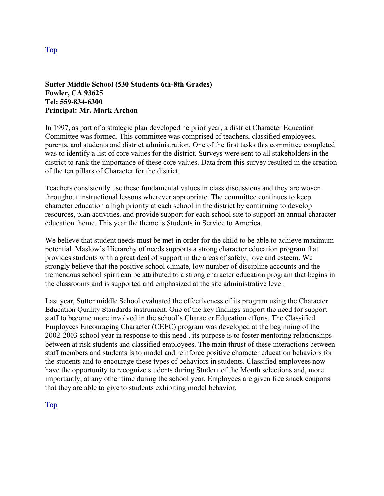#### **Sutter Middle School (530 Students 6th-8th Grades) Fowler, CA 93625 Tel: 559-834-6300 Principal: Mr. Mark Archon**

In 1997, as part of a strategic plan developed he prior year, a district Character Education Committee was formed. This committee was comprised of teachers, classified employees, parents, and students and district administration. One of the first tasks this committee completed was to identify a list of core values for the district. Surveys were sent to all stakeholders in the district to rank the importance of these core values. Data from this survey resulted in the creation of the ten pillars of Character for the district.

Teachers consistently use these fundamental values in class discussions and they are woven throughout instructional lessons wherever appropriate. The committee continues to keep character education a high priority at each school in the district by continuing to develop resources, plan activities, and provide support for each school site to support an annual character education theme. This year the theme is Students in Service to America.

We believe that student needs must be met in order for the child to be able to achieve maximum potential. Maslow's Hierarchy of needs supports a strong character education program that provides students with a great deal of support in the areas of safety, love and esteem. We strongly believe that the positive school climate, low number of discipline accounts and the tremendous school spirit can be attributed to a strong character education program that begins in the classrooms and is supported and emphasized at the site administrative level.

Last year, Sutter middle School evaluated the effectiveness of its program using the Character Education Quality Standards instrument. One of the key findings support the need for support staff to become more involved in the school's Character Education efforts. The Classified Employees Encouraging Character (CEEC) program was developed at the beginning of the 2002-2003 school year in response to this need . its purpose is to foster mentoring relationships between at risk students and classified employees. The main thrust of these interactions between staff members and students is to model and reinforce positive character education behaviors for the students and to encourage these types of behaviors in students. Classified employees now have the opportunity to recognize students during Student of the Month selections and, more importantly, at any other time during the school year. Employees are given free snack coupons that they are able to give to students exhibiting model behavior.

Top

Top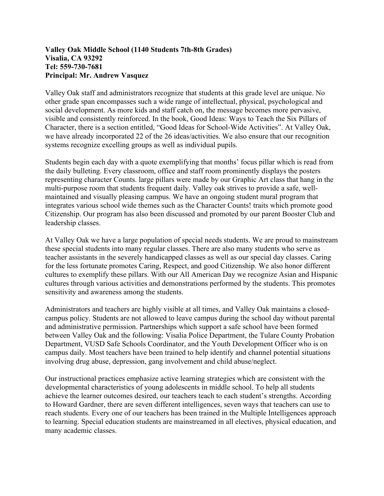#### **Valley Oak Middle School (1140 Students 7th-8th Grades) Visalia, CA 93292 Tel: 559-730-7681 Principal: Mr. Andrew Vasquez**

Valley Oak staff and administrators recognize that students at this grade level are unique. No other grade span encompasses such a wide range of intellectual, physical, psychological and social development. As more kids and staff catch on, the message becomes more pervasive, visible and consistently reinforced. In the book, Good Ideas: Ways to Teach the Six Pillars of Character, there is a section entitled, "Good Ideas for School-Wide Activities". At Valley Oak, we have already incorporated 22 of the 26 ideas/activities. We also ensure that our recognition systems recognize excelling groups as well as individual pupils.

Students begin each day with a quote exemplifying that months' focus pillar which is read from the daily bulleting. Every classroom, office and staff room prominently displays the posters representing character Counts. large pillars were made by our Graphic Art class that hang in the multi-purpose room that students frequent daily. Valley oak strives to provide a safe, wellmaintained and visually pleasing campus. We have an ongoing student mural program that integrates various school wide themes such as the Character Counts! traits which promote good Citizenship. Our program has also been discussed and promoted by our parent Booster Club and leadership classes.

At Valley Oak we have a large population of special needs students. We are proud to mainstream these special students into many regular classes. There are also many students who serve as teacher assistants in the severely handicapped classes as well as our special day classes. Caring for the less fortunate promotes Caring, Respect, and good Citizenship. We also honor different cultures to exemplify these pillars. With our All American Day we recognize Asian and Hispanic cultures through various activities and demonstrations performed by the students. This promotes sensitivity and awareness among the students.

Administrators and teachers are highly visible at all times, and Valley Oak maintains a closedcampus policy. Students are not allowed to leave campus during the school day without parental and administrative permission. Partnerships which support a safe school have been formed between Valley Oak and the following: Visalia Police Department, the Tulare County Probation Department, VUSD Safe Schools Coordinator, and the Youth Development Officer who is on campus daily. Most teachers have been trained to help identify and channel potential situations involving drug abuse, depression, gang involvement and child abuse/neglect.

Our instructional practices emphasize active learning strategies which are consistent with the developmental characteristics of young adolescents in middle school. To help all students achieve the learner outcomes desired, our teachers teach to each student's strengths. According to Howard Gardner, there are seven different intelligences, seven ways that teachers can use to reach students. Every one of our teachers has been trained in the Multiple Intelligences approach to learning. Special education students are mainstreamed in all electives, physical education, and many academic classes.